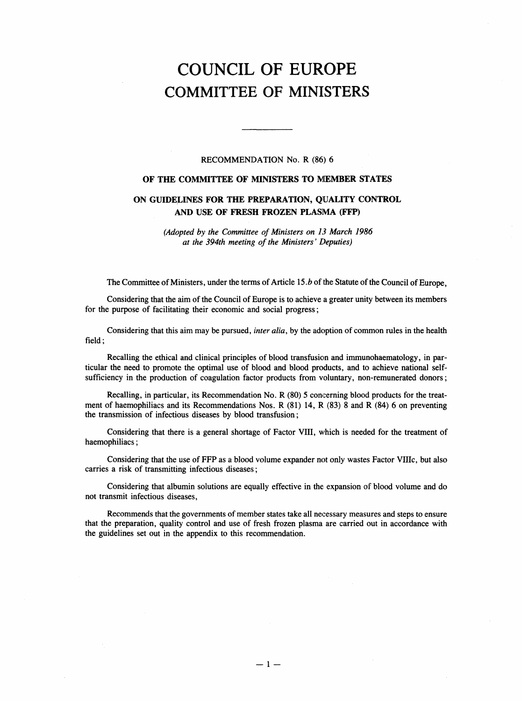# COUNCIL OF EUROPE COMMITTEE OF MINISTERS

# RECOMMENDATION No. R (86) 6

# OF THE COMMITTEE OF MINISTERS TO MEMBER STATES

# ON GUIDELINES FOR THE PREPARATION, QUALITY CONTROL AND USE OF FRESH FROZEN PLASMA (FFP)

(Adopted by the Committee of Ministers on 13 March 1986 at the 394th meeting of the Ministers' Deputies)

The Committee of Ministers, under the terms of Article 15.*b* of the Statute of the Council of Europe,

Considering that the aim of the Council of Europe is to achieve a greater unity between its members for the purpose of facilitating their economic and social progress;

Considering that this aim may be pursued, *inter alia*, by the adoption of common rules in the health field;

Recalling the ethical and clinical principles of blood transfusion and immunohaematology, in particular the need to promote the optimal use of blood and blood products, and to achieve national selfsufficiency in the production of coagulation factor products from voluntary, non-remunerated donors;

Recalling, in particular, its Recommendation No. R (80) 5 concerning blood products for the treatment of haemophiliacs and its Recommendations Nos. R (81) 14, R (83) 8 and R (84) 6 on preventing the transmission of infectious diseases by blood transfusion;

Considering that there is a general shortage of Factor VIII, which is needed for the treatment of haemophiliacs;

Considering that the use of FFP as a blood volume expander not only wastes Factor VIIIc, but also carries a risk of transmitting infectious diseases;

Considering that albumin solutions are equally effective in the expansion of blood volume and do not transmit infectious diseases,

Recommends that the governments of member states take all necessary measures and steps to ensure that the preparation, quality control and use of fresh frozen plasma are carried out in accordance with the guidelines set out in the appendix to this recommendation.

 $-1 -$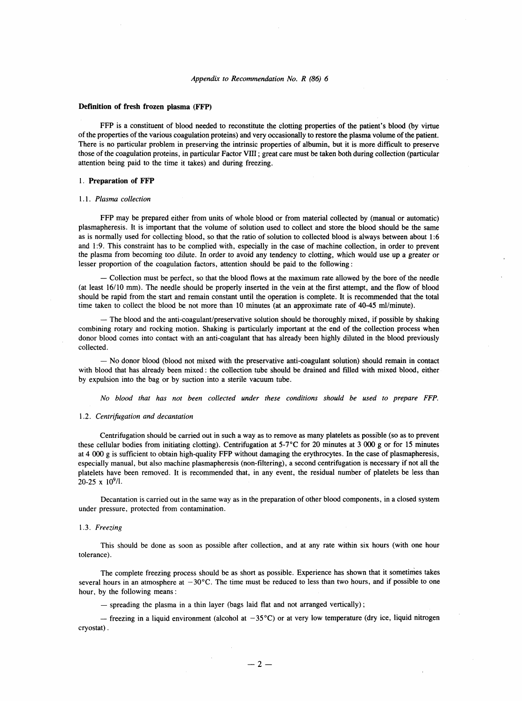#### Definition of fresh frozen plasma (FFP)

FFP is a constituent of blood needed to reconstitute the clotting properties of the patient's blood (by virtue of the properties of the various coagulation proteins) and very occasionally to restore the plasma volume of the patient. There is no particular problem in preserving the intrinsic properties of albumin, but it is more difficult to preserve those of the coagulation proteins, in particular Factor VIII; great care must be taken both during collection (particular attention being paid to the time it takes) and during freezing.

#### 1. Preparation of FFP

# 1.1. Plasma collection

FFP may be prepared either from units of whole blood or from material collected by (manual or automatic) plasmapheresis. It is important that the volume of solution used to collect and store the blood should be the same as is normally used for collecting blood, so that the ratio of solution to collected blood is always between about 1:6 and 1:9. This constraint has to be complied with, especially in the case of machine collection, in order to prevent the plasma from becoming too dilute. In order to avoid any tendency to clotting, which would use up a greater or lesser proportion of the coagulation factors, attention should be paid to the following:

- Collection must be perfect, so that the blood flows at the maximum rate allowed by the bore of the needle (at least 16/10 mm). The needle should be properly inserted in the vein at the first attempt, and the flow of blood should be rapid from the start and remain constant until the operation is complete. It is recommended that the total time taken to collect the blood be not more than 10 minutes (at an approximate rate of 40-45 ml/minute).

- The blood and the anti-coagulant/preservative solution should be thoroughly mixed, if possible by shaking combining rotary and rocking motion. Shaking is particularly important at the end of the collection process when donor blood comes into contact with an anti-coagulant that has already been highly diluted in the blood previously collected.

- No donor blood (blood not mixed with the preservative anti-coagulant solution) should remain in contact with blood that has already been mixed: the collection tube should be drained and filled with mixed blood, either by expulsion into the bag or by suction into a sterile vacuum tube.

No blood that has not been collected under these conditions should be used to prepare FFP.

#### 1.2. Centrifugation and decantation

Centrifugation should be carried out in such a way as to remove as many platelets as possible (so as to prevent these cellular bodies from initiating clotting). Centrifugation at 5-7°C for 20 minutes at 3 000 g or for 15 minutes at 4 000 g is sufficient to obtain high-quality FFP without damaging the erythrocytes. In the case of plasmapheresis, especially manual, but also machine plasmapheresis (non-filtering), a second centrifugation is necessary if not all the platelets have been removed. It is recommended that, in any event, the residual number of platelets be less than  $20-25 \times 10^9$ /l.

Decantation is carried out in the same way as in the preparation of other blood components, in a closed system under pressure, protected from contamination.

#### 1.3. Freezing

This should be done as soon as possible after collection, and at any rate within six hours (with one hour tolerance).

The complete freezing process should be as short as possible. Experience has shown that it sometimes takes several hours in an atmosphere at  $-30^{\circ}$ C. The time must be reduced to less than two hours, and if possible to one hour, by the following means:

- spreading the plasma in a thin layer (bags laid flat and not arranged vertically);

- freezing in a liquid environment (alcohol at  $-35^{\circ}$ C) or at very low temperature (dry ice, liquid nitrogen cryostat).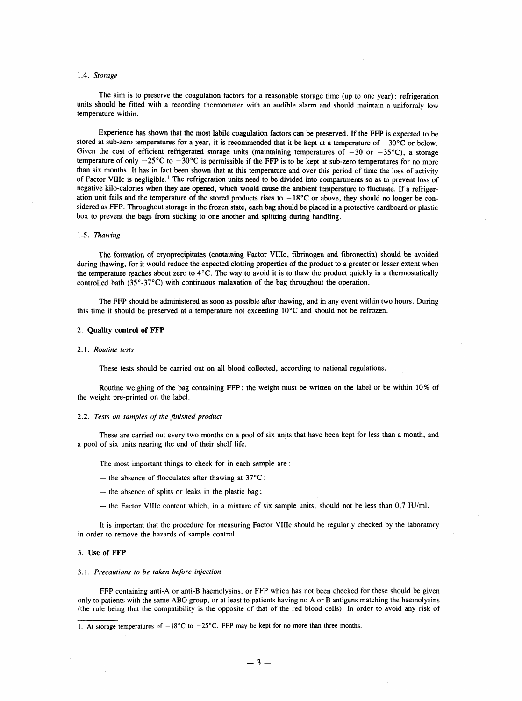## 1.4. Storage

The aim is to preserve the coagulation factors for a reasonable storage time (up to one year): refrigeration units should be fitted with a recording thermometer with an audible alarm and should maintain a uniformly low temperature within.

Experience has shown that the most labile coagulation factors can be preserved. If the FFP is expected to be stored at sub-zero temperatures for a year, it is recommended that it be kept at a temperature of  $-30^{\circ}$ C or below. Given the cost of efficient refrigerated storage units (maintaining temperatures of  $-30$  or  $-35^{\circ}$ C), a storage temperature of only  $-25^{\circ}$ C to  $-30^{\circ}$ C is permissible if the FFP is to be kept at sub-zero temperatures for no more than six months. It has in fact been shown that at this temperature and over this period of time the loss of activity of Factor VIIIc is negligible.<sup>1</sup> The refrigeration units need to be divided into compartments so as to prevent loss of negative kilo-calories when they are opened, which would cause the ambient temperature to fluctuate. If a refrigeration unit fails and the temperature of the stored products rises to  $-18^{\circ}$ C or above, they should no longer be considered as FFP. Throughout storage in the frozen state, each bag should be placed in a protective cardboard or plastic box to prevent the bags from sticking to one another and splitting during handling.

#### 1.5. Thawing

The formation of cryoprecipitates (containing Factor VIIIc, fibrinogen and fibronectin) should be avoided during thawing, for it would reduce the expected clotting properties of the product to a greater or lesser extent when the temperature reaches about zero to 4°C. The way to avoid it is to thaw the product quickly in a thermostatically controlled bath (35°-37°C) with continuous malaxation of the bag throughout the operation.

The FFP should be administered as soon as possible after thawing, and in any event within two hours. During this time it should be preserved at a temperature not exceeding 10°C and should not be refrozen.

#### 2. Quality control of FFP

#### 2.1. Routine tests

These tests should be carried out on all blood collected, according to national regulations.

Routine weighing of the bag containing FFP: the weight must be written on the label or be within 10% of the weight pre-printed on the label.

#### 2.2. Tests on samples of the finished product

These are carried out every two months on a pool of six units that have been kept for less than a month, and a pool of six units nearing the end of their shelf life.

The most important things to check for in each sample are:

- the absence of flocculates after thawing at  $37^{\circ}$ C:
- $-$  the absence of splits or leaks in the plastic bag;
- the Factor VIIIc content which, in a mixture of six sample units, should not be less than  $0.7$  IU/ml.

It is important that the procedure for measuring Factor VIIIc should be regularly checked by the laboratory in order to remove the hazards of sample control.

#### 3. Use of FFP

 $\sim$ 

## 3.1. Precautions to be taken before injection

FFP containing anti-A or anti-B haemolysins, or FFP which has not been checked for these should be given only to patients with the same ABO group, or at least to patients having no A or B antigens matching the haemolysins (the rule being that the compatibility is the opposite of that of the red blood cells). In order to avoid any risk of

<sup>1.</sup> At storage temperatures of  $-18^{\circ}$ C to  $-25^{\circ}$ C, FFP may be kept for no more than three months.